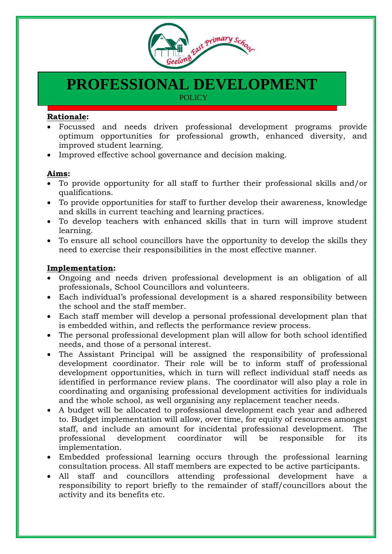

# **PROFESSIONAL DEVELOPMENT POLICY**

#### **Rationale:**

- Focussed and needs driven professional development programs provide optimum opportunities for professional growth, enhanced diversity, and improved student learning.
- Improved effective school governance and decision making.

#### **Aims:**

- To provide opportunity for all staff to further their professional skills and/or qualifications.
- To provide opportunities for staff to further develop their awareness, knowledge and skills in current teaching and learning practices.
- To develop teachers with enhanced skills that in turn will improve student learning.
- To ensure all school councillors have the opportunity to develop the skills they need to exercise their responsibilities in the most effective manner.

### **Implementation:**

- Ongoing and needs driven professional development is an obligation of all professionals, School Councillors and volunteers.
- Each individual's professional development is a shared responsibility between the school and the staff member.
- Each staff member will develop a personal professional development plan that is embedded within, and reflects the performance review process.
- The personal professional development plan will allow for both school identified needs, and those of a personal interest.
- The Assistant Principal will be assigned the responsibility of professional development coordinator. Their role will be to inform staff of professional development opportunities, which in turn will reflect individual staff needs as identified in performance review plans. The coordinator will also play a role in coordinating and organising professional development activities for individuals and the whole school, as well organising any replacement teacher needs.
- A budget will be allocated to professional development each year and adhered to. Budget implementation will allow, over time, for equity of resources amongst staff, and include an amount for incidental professional development. The professional development coordinator will be responsible for its implementation.
- Embedded professional learning occurs through the professional learning consultation process. All staff members are expected to be active participants.
- All staff and councillors attending professional development have a responsibility to report briefly to the remainder of staff/councillors about the activity and its benefits etc.